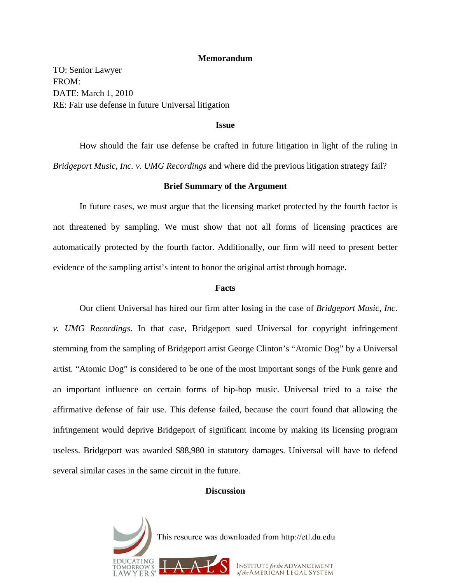## **Memorandum**

TO: Senior Lawyer FROM: DATE: March 1, 2010 RE: Fair use defense in future Universal litigation

#### **Issue**

 How should the fair use defense be crafted in future litigation in light of the ruling in *Bridgeport Music, Inc. v. UMG Recordings* and where did the previous litigation strategy fail?

# **Brief Summary of the Argument**

 In future cases, we must argue that the licensing market protected by the fourth factor is not threatened by sampling. We must show that not all forms of licensing practices are automatically protected by the fourth factor. Additionally, our firm will need to present better evidence of the sampling artist's intent to honor the original artist through homage**.** 

#### **Facts**

Our client Universal has hired our firm after losing in the case of *Bridgeport Music, Inc. v. UMG Recordings*. In that case, Bridgeport sued Universal for copyright infringement stemming from the sampling of Bridgeport artist George Clinton's "Atomic Dog" by a Universal artist. "Atomic Dog" is considered to be one of the most important songs of the Funk genre and an important influence on certain forms of hip-hop music. Universal tried to a raise the affirmative defense of fair use. This defense failed, because the court found that allowing the infringement would deprive Bridgeport of significant income by making its licensing program useless. Bridgeport was awarded \$88,980 in statutory damages. Universal will have to defend several similar cases in the same circuit in the future.

# **Discussion**

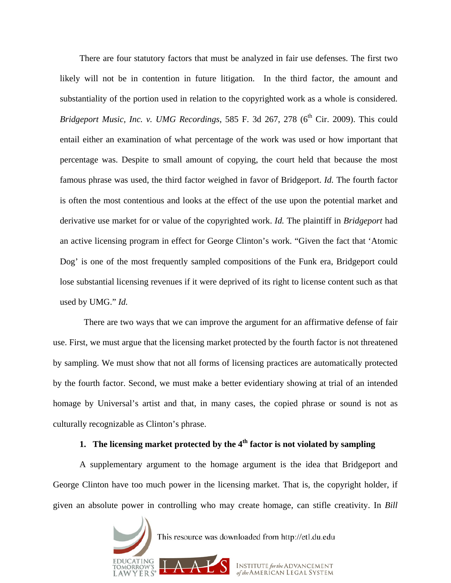There are four statutory factors that must be analyzed in fair use defenses. The first two likely will not be in contention in future litigation. In the third factor, the amount and substantiality of the portion used in relation to the copyrighted work as a whole is considered. *Bridgeport Music, Inc. v. UMG Recordings,* 585 F. 3d 267, 278 (6<sup>th</sup> Cir. 2009). This could entail either an examination of what percentage of the work was used or how important that percentage was. Despite to small amount of copying, the court held that because the most famous phrase was used, the third factor weighed in favor of Bridgeport. *Id.* The fourth factor is often the most contentious and looks at the effect of the use upon the potential market and derivative use market for or value of the copyrighted work. *Id.* The plaintiff in *Bridgeport* had an active licensing program in effect for George Clinton's work. "Given the fact that 'Atomic Dog' is one of the most frequently sampled compositions of the Funk era, Bridgeport could lose substantial licensing revenues if it were deprived of its right to license content such as that used by UMG." *Id.*

 There are two ways that we can improve the argument for an affirmative defense of fair use. First, we must argue that the licensing market protected by the fourth factor is not threatened by sampling. We must show that not all forms of licensing practices are automatically protected by the fourth factor. Second, we must make a better evidentiary showing at trial of an intended homage by Universal's artist and that, in many cases, the copied phrase or sound is not as culturally recognizable as Clinton's phrase.

# **1.** The licensing market protected by the 4<sup>th</sup> factor is not violated by sampling

A supplementary argument to the homage argument is the idea that Bridgeport and George Clinton have too much power in the licensing market. That is, the copyright holder, if given an absolute power in controlling who may create homage, can stifle creativity. In *Bill* 

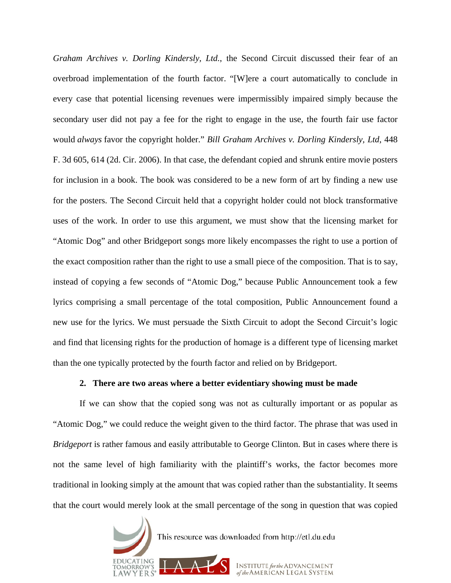*Graham Archives v. Dorling Kindersly, Ltd.*, the Second Circuit discussed their fear of an overbroad implementation of the fourth factor. "[W]ere a court automatically to conclude in every case that potential licensing revenues were impermissibly impaired simply because the secondary user did not pay a fee for the right to engage in the use, the fourth fair use factor would *always* favor the copyright holder." *Bill Graham Archives v. Dorling Kindersly, Ltd*, 448 F. 3d 605, 614 (2d. Cir. 2006). In that case, the defendant copied and shrunk entire movie posters for inclusion in a book. The book was considered to be a new form of art by finding a new use for the posters. The Second Circuit held that a copyright holder could not block transformative uses of the work. In order to use this argument, we must show that the licensing market for "Atomic Dog" and other Bridgeport songs more likely encompasses the right to use a portion of the exact composition rather than the right to use a small piece of the composition. That is to say, instead of copying a few seconds of "Atomic Dog," because Public Announcement took a few lyrics comprising a small percentage of the total composition, Public Announcement found a new use for the lyrics. We must persuade the Sixth Circuit to adopt the Second Circuit's logic and find that licensing rights for the production of homage is a different type of licensing market than the one typically protected by the fourth factor and relied on by Bridgeport.

# **2. There are two areas where a better evidentiary showing must be made**

 If we can show that the copied song was not as culturally important or as popular as "Atomic Dog," we could reduce the weight given to the third factor. The phrase that was used in *Bridgeport* is rather famous and easily attributable to George Clinton. But in cases where there is not the same level of high familiarity with the plaintiff's works, the factor becomes more traditional in looking simply at the amount that was copied rather than the substantiality. It seems that the court would merely look at the small percentage of the song in question that was copied